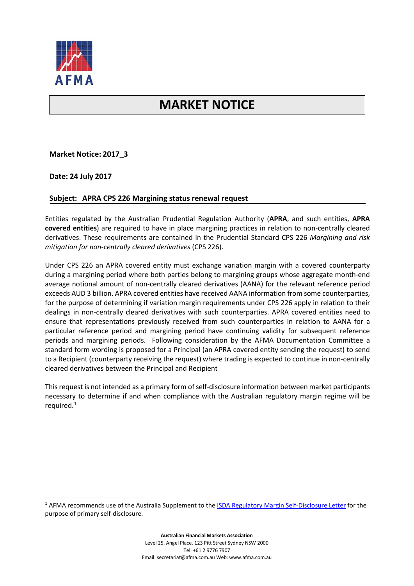

## **MARKET NOTICE**

**Market Notice: 2017\_3**

**Date: 24 July 2017**

## **Subject: APRA CPS 226 Margining status renewal request**

Entities regulated by the Australian Prudential Regulation Authority (**APRA**, and such entities, **APRA covered entities**) are required to have in place margining practices in relation to non-centrally cleared derivatives. These requirements are contained in the Prudential Standard CPS 226 *Margining and risk mitigation for non-centrally cleared derivatives* (CPS 226).

Under CPS 226 an APRA covered entity must exchange variation margin with a covered counterparty during a margining period where both parties belong to margining groups whose aggregate month-end average notional amount of non-centrally cleared derivatives (AANA) for the relevant reference period exceeds AUD 3 billion. APRA covered entities have received AANA information from some counterparties, for the purpose of determining if variation margin requirements under CPS 226 apply in relation to their dealings in non-centrally cleared derivatives with such counterparties. APRA covered entities need to ensure that representations previously received from such counterparties in relation to AANA for a particular reference period and margining period have continuing validity for subsequent reference periods and margining periods. Following consideration by the AFMA Documentation Committee a standard form wording is proposed for a Principal (an APRA covered entity sending the request) to send to a Recipient (counterparty receiving the request) where trading is expected to continue in non-centrally cleared derivatives between the Principal and Recipient

This request is not intended as a primary form of self-disclosure information between market participants necessary to determine if and when compliance with the Australian regulatory margin regime will be required.[1](#page-0-0)

<span id="page-0-0"></span><sup>&</sup>lt;sup>1</sup> AFMA recommends use of the Australia Supplement to the **[ISDA Regulatory Margin Self-Disclosure Letter](http://www2.isda.org/functional-areas/wgmr-implementation/isda-regulatory-margin-self-disclosure-letter/)** for the purpose of primary self-disclosure.